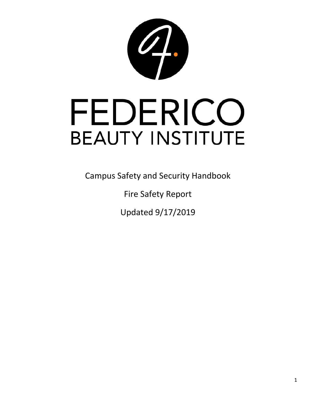

Campus Safety and Security Handbook

Fire Safety Report

Updated 9/17/2019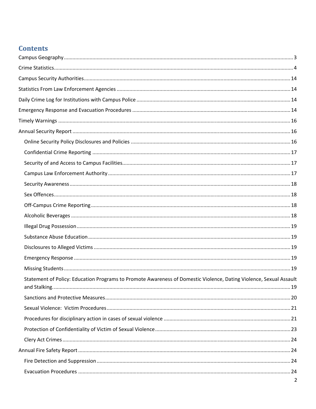# **Contents**

| Statement of Policy: Education Programs to Promote Awareness of Domestic Violence, Dating Violence, Sexual Assault |  |
|--------------------------------------------------------------------------------------------------------------------|--|
|                                                                                                                    |  |
|                                                                                                                    |  |
|                                                                                                                    |  |
|                                                                                                                    |  |
|                                                                                                                    |  |
|                                                                                                                    |  |
|                                                                                                                    |  |
|                                                                                                                    |  |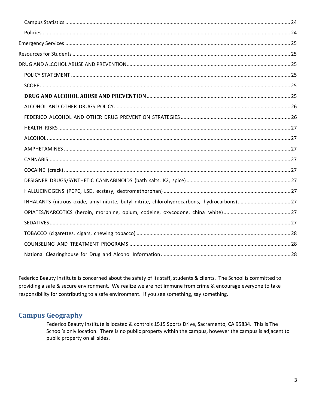Federico Beauty Institute is concerned about the safety of its staff, students & clients. The School is committed to providing a safe & secure environment. We realize we are not immune from crime & encourage everyone to take responsibility for contributing to a safe environment. If you see something, say something.

# **Campus Geography**

Federico Beauty Institute is located & controls 1515 Sports Drive, Sacramento, CA 95834. This is The School's only location. There is no public property within the campus, however the campus is adjacent to public property on all sides.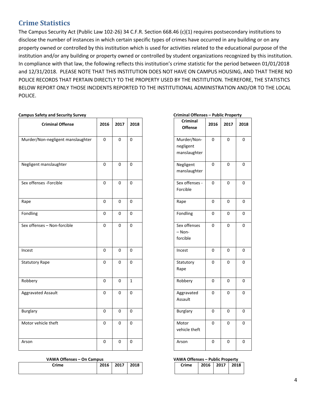# **Crime Statistics**

The Campus Security Act (Public Law 102‐26) 34 C.F.R. Section 668.46 (c)(1) requires postsecondary institutions to disclose the number of instances in which certain specific types of crimes have occurred in any building or on any property owned or controlled by this institution which is used for activities related to the educational purpose of the institution and/or any building or property owned or controlled by student organizations recognized by this institution. In compliance with that law, the following reflects this institution's crime statistic for the period between 01/01/2018 and 12/31/2018. PLEASE NOTE THAT THIS INSTITUTION DOES NOT HAVE ON CAMPUS HOUSING, AND THAT THERE NO POLICE RECORDS THAT PERTAIN DIRECTLY TO THE PROPERTY USED BY THE INSTITUTION. THEREFORE, THE STATISTICS BELOW REPORT ONLY THOSE INCIDENTS REPORTED TO THE INSTITUTIONAL ADMINISTRATION AND/OR TO THE LOCAL POLICE.

| <b>Criminal Offense</b>           | 2016        | 2017        | 2018         | Criminal<br><b>Offense</b>               | 2016        |  |
|-----------------------------------|-------------|-------------|--------------|------------------------------------------|-------------|--|
| Murder/Non-negligent manslaughter | $\mathsf 0$ | $\pmb{0}$   | $\pmb{0}$    | Murder/Non-<br>negligent<br>manslaughter | $\pmb{0}$   |  |
| Negligent manslaughter            | $\pmb{0}$   | $\mathbf 0$ | $\mathbf 0$  | Negligent<br>manslaughter                | $\mathbf 0$ |  |
| Sex offenses -Forcible            | $\mathbf 0$ | $\mathbf 0$ | $\pmb{0}$    | Sex offenses -<br>Forcible               | $\mathbf 0$ |  |
|                                   | $\mathbf 0$ | 0           | $\mathbf 0$  | Rape                                     | 0           |  |
|                                   | $\mathbf 0$ | $\mathbf 0$ | $\mathbf 0$  | Fondling                                 | $\mathbf 0$ |  |
| Sex offenses - Non-forcible       | $\mathsf 0$ | $\Omega$    | $\pmb{0}$    | Sex offenses<br>$-$ Non-<br>forcible     | 0           |  |
|                                   | $\pmb{0}$   | $\mathbf 0$ | $\mathbf 0$  | Incest                                   | 0           |  |
| <b>Statutory Rape</b>             | $\mathbf 0$ | $\Omega$    | $\mathbf 0$  | Statutory<br>Rape                        | 0           |  |
| Robbery                           | $\pmb{0}$   | $\pmb{0}$   | $\mathbf{1}$ | Robbery                                  | 0           |  |
| <b>Aggravated Assault</b>         | $\mathbf 0$ | $\mathbf 0$ | $\mathbf 0$  | Aggravated<br>Assault                    | 0           |  |
| <b>Burglary</b>                   | $\mathbf 0$ | $\mathbf 0$ | $\mathbf 0$  | <b>Burglary</b>                          | 0           |  |
| Motor vehicle theft               | $\mathbf 0$ | $\mathbf 0$ | $\mathbf 0$  | Motor<br>vehicle theft                   | 0           |  |
|                                   | 0           | $\mathbf 0$ | $\mathbf 0$  | Arson                                    | 0           |  |

| VAWA Offenses - On Campus |      |      |      | VAWA Offenses - Public Property |      |      |      |
|---------------------------|------|------|------|---------------------------------|------|------|------|
| Crime                     | 2016 | 2017 | 2018 | Crime                           | 2016 | 2017 | 2018 |
|                           |      |      |      |                                 |      |      |      |

#### **Campus Safety and Security Survey Criminal Offenses – Public Property**

| <u>rın</u>     | menses – Public Property |                |      |  |  |
|----------------|--------------------------|----------------|------|--|--|
| Criminal       | 2016<br>2017             |                |      |  |  |
| <b>Offense</b> |                          |                | 2018 |  |  |
|                |                          |                |      |  |  |
| Murder/Non-    | 0                        | 0              | 0    |  |  |
| negligent      |                          |                |      |  |  |
| manslaughter   |                          |                |      |  |  |
| Negligent      | 0                        | 0              | 0    |  |  |
| manslaughter   |                          |                |      |  |  |
|                |                          |                |      |  |  |
| Sex offenses - | 0                        | 0              | 0    |  |  |
| Forcible       |                          |                |      |  |  |
|                |                          |                |      |  |  |
| Rape           | 0                        | 0              | 0    |  |  |
|                |                          |                |      |  |  |
| Fondling       | 0                        | $\overline{0}$ | 0    |  |  |
|                |                          |                |      |  |  |
| Sex offenses   | 0                        | 0              | 0    |  |  |
| – Non-         |                          |                |      |  |  |
| forcible       |                          |                |      |  |  |
|                |                          |                |      |  |  |
| Incest         | 0                        | 0              | 0    |  |  |
|                |                          |                |      |  |  |
| Statutory      | 0                        | 0              | 0    |  |  |
| Rape           |                          |                |      |  |  |
|                |                          |                |      |  |  |
| Robbery        | 0                        | 0              | 0    |  |  |
|                |                          |                |      |  |  |
| Aggravated     | 0                        | 0              | 0    |  |  |
| Assault        |                          |                |      |  |  |
|                |                          |                |      |  |  |
| Burglary       | 0                        | 0              | 0    |  |  |
|                |                          |                |      |  |  |
| Motor          | 0                        | 0              | 0    |  |  |
| vehicle theft  |                          |                |      |  |  |
|                |                          |                |      |  |  |
| Arson          | 0                        | 0              | 0    |  |  |
|                |                          |                |      |  |  |

| Crime | 2016 2017 2018 |  |
|-------|----------------|--|
|       |                |  |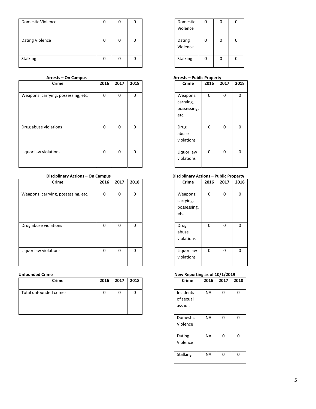| Domestic Violence      | O | 0 | 0 | Domestic           | 0 | 0 | 0 |
|------------------------|---|---|---|--------------------|---|---|---|
|                        |   |   |   | Violence           |   |   |   |
| <b>Dating Violence</b> | 0 | 0 | 0 | Dating<br>Violence | 0 | 0 | 0 |
| <b>Stalking</b>        | 0 | 0 | 0 | <b>Stalking</b>    | 0 | 0 | 0 |

| Crime                               | 2016        | 2017 | 2018     | Crime                                        | 2016        | 2017 | 2018     |
|-------------------------------------|-------------|------|----------|----------------------------------------------|-------------|------|----------|
| Weapons: carrying, possessing, etc. | $\mathbf 0$ | 0    | 0        | Weapons:<br>carrying,<br>possessing,<br>etc. | 0           | 0    | 0        |
| Drug abuse violations               | $\Omega$    | 0    | $\Omega$ | Drug<br>abuse<br>violations                  | $\Omega$    | 0    | $\Omega$ |
| Liquor law violations               | 0           | 0    | 0        | Liquor law<br>violations                     | $\mathbf 0$ | 0    | $\Omega$ |

| <b>Crime</b>                        | 2016 | 2017 | 2018 | Crime                                        | 2016        | 2017 | 2018     |
|-------------------------------------|------|------|------|----------------------------------------------|-------------|------|----------|
| Weapons: carrying, possessing, etc. | 0    | 0    | 0    | Weapons:<br>carrying,<br>possessing,<br>etc. | 0           | 0    | 0        |
| Drug abuse violations               | 0    | 0    | 0    | Drug<br>abuse<br>violations                  | $\Omega$    | 0    | 0        |
| Liquor law violations               | 0    | 0    | 0    | Liquor law<br>violations                     | $\mathbf 0$ | 0    | $\Omega$ |

| Crime                  | 2016 | 2017 | 2018 | Crime                             | 2016      | 2017 | 2018 |
|------------------------|------|------|------|-----------------------------------|-----------|------|------|
| Total unfounded crimes | 0    |      | 0    | Incidents<br>of sexual<br>assault | <b>NA</b> | 0    |      |

| Domestic |  |  |
|----------|--|--|
| Violence |  |  |
|          |  |  |
| Dating   |  |  |
| Violence |  |  |
|          |  |  |
| Stalking |  |  |
|          |  |  |

#### **Arrests – On Campus Arrests – Public Property**

| Crime                                        | 2016 | 2017 | 2018 |
|----------------------------------------------|------|------|------|
| Weapons:<br>carrying,<br>possessing,<br>etc. | 0    | 0    | n    |
| Drug<br>abuse<br>violations                  | 0    | 0    | n    |
| Liquor law<br>violations                     | n    | n    | n    |

#### **Disciplinary Actions – On Campus and Campus Control of Campus Control of Campus** Disciplinary Actions – Public Property

| Crime                                        | 2016 | 2017 | 2018 |
|----------------------------------------------|------|------|------|
| Weapons:<br>carrying,<br>possessing,<br>etc. | 0    | O    | n    |
| Drug<br>abuse<br>violations                  | ი    | U    | n    |
| Liquor law<br>violations                     | U    | n    | n    |

#### **Unfounded Crime New Reporting as of 10/1/2019**

|                        |      |      |      | л.           | $\tilde{\phantom{a}}$ | . .  |          |
|------------------------|------|------|------|--------------|-----------------------|------|----------|
| Crime                  | 2016 | 2017 | 2018 | <b>Crime</b> | 2016                  | 2017 | 2018     |
|                        |      |      |      |              |                       |      |          |
| Total unfounded crimes | 0    | 0    | 0    | Incidents    | NА                    | 0    | 0        |
|                        |      |      |      | of sexual    |                       |      |          |
|                        |      |      |      | assault      |                       |      |          |
|                        |      |      |      |              |                       |      |          |
|                        |      |      |      | Domestic     | NА                    | 0    | $\Omega$ |
|                        |      |      |      | Violence     |                       |      |          |
|                        |      |      |      |              |                       |      |          |
|                        |      |      |      | Dating       | NА                    | 0    | 0        |
|                        |      |      |      | Violence     |                       |      |          |
|                        |      |      |      |              |                       |      |          |
|                        |      |      |      | Stalking     | <b>NA</b>             | 0    | $\Omega$ |
|                        |      |      |      |              |                       |      |          |
|                        |      |      |      |              |                       |      |          |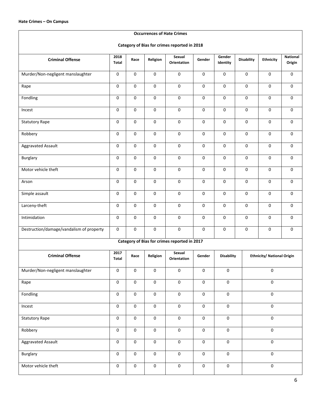|                                          |                     |                     |                     | <b>Occurrences of Hate Crimes</b>            |                     |                     |                   |                                   |                           |  |
|------------------------------------------|---------------------|---------------------|---------------------|----------------------------------------------|---------------------|---------------------|-------------------|-----------------------------------|---------------------------|--|
|                                          |                     |                     |                     | Category of Bias for crimes reported in 2018 |                     |                     |                   |                                   |                           |  |
| <b>Criminal Offense</b>                  | 2018<br>Total       | Race                | Religion            | Sexual<br><b>Orientation</b>                 | Gender              | Gender<br>Identity  | <b>Disability</b> | <b>Ethnicity</b>                  | <b>National</b><br>Origin |  |
| Murder/Non-negligent manslaughter        | 0                   | $\mathbf 0$         | $\mathbf 0$         | 0                                            | $\mathbf 0$         | $\mathbf 0$         | $\mathbf 0$       | 0                                 | 0                         |  |
| Rape                                     | 0                   | $\mathsf 0$         | 0                   | 0                                            | 0                   | 0                   | 0                 | 0                                 | 0                         |  |
| Fondling                                 | $\mathbf 0$         | $\mathsf{O}\xspace$ | 0                   | 0                                            | $\mathsf 0$         | 0                   | 0                 | 0                                 | 0                         |  |
| Incest                                   | 0                   | $\mathsf{O}\xspace$ | 0                   | 0                                            | $\mathbf 0$         | 0                   | 0                 | 0                                 | 0                         |  |
| <b>Statutory Rape</b>                    | 0                   | $\mathbf 0$         | 0                   | 0                                            | 0                   | 0                   | 0                 | 0                                 | 0                         |  |
| Robbery                                  | 0                   | $\pmb{0}$           | $\pmb{0}$           | 0                                            | $\mathbf 0$         | $\mathsf{O}\xspace$ | $\pmb{0}$         | 0                                 | 0                         |  |
| Aggravated Assault                       | 0                   | $\pmb{0}$           | $\pmb{0}$           | 0                                            | $\mathbf 0$         | $\pmb{0}$           | 0                 | 0                                 | 0                         |  |
| Burglary                                 | $\mathbf 0$         | $\mathsf 0$         | 0                   | $\mathbf 0$                                  | $\mathbf 0$         | 0                   | 0                 | 0                                 | 0                         |  |
| Motor vehicle theft                      | 0                   | $\mathsf{O}\xspace$ | 0                   | 0                                            | 0                   | 0                   | 0                 | 0                                 | 0                         |  |
| Arson                                    | $\mathsf 0$         | $\mathsf{O}\xspace$ | 0                   | $\mathsf{O}\xspace$                          | $\mathsf 0$         | $\mathsf{O}\xspace$ | 0                 | 0                                 | 0                         |  |
| Simple assault                           | 0                   | $\mathbf 0$         | 0                   | 0                                            | 0                   | $\mathsf 0$         | 0                 | 0                                 | 0                         |  |
| Larceny-theft                            | 0                   | $\mathbf 0$         | 0                   | 0                                            | 0                   | 0                   | 0                 | 0                                 | 0                         |  |
| Intimidation                             | $\mathsf 0$         | $\pmb{0}$           | 0                   | 0                                            | $\mathsf{O}\xspace$ | $\mathsf{O}\xspace$ | $\pmb{0}$         | 0                                 | 0                         |  |
| Destruction/damage/vandalism of property | $\mathsf 0$         | $\mathsf{O}\xspace$ | 0                   | $\pmb{0}$                                    | $\mathsf{O}\xspace$ | 0                   | 0                 | 0                                 | 0                         |  |
|                                          |                     |                     |                     | Category of Bias for crimes reported in 2017 |                     |                     |                   |                                   |                           |  |
| <b>Criminal Offense</b>                  | 2017<br>Total       | Race                | Religion            | Sexual<br>Orientation                        | Gender              | <b>Disability</b>   |                   | <b>Ethnicity/ National Origin</b> |                           |  |
| Murder/Non-negligent manslaughter        | $\mathsf{O}\xspace$ | $\mathsf{O}\xspace$ | $\pmb{0}$           | $\pmb{0}$                                    | $\mathsf{O}\xspace$ | 0                   |                   | 0                                 |                           |  |
| Rape                                     | $\overline{0}$      | $\mathsf{O}\xspace$ | $\pmb{0}$           | $\pmb{0}$                                    | $\mathsf 0$         | $\overline{0}$      |                   | $\mathsf{O}\xspace$               |                           |  |
| Fondling                                 | $\mathsf{O}\xspace$ | $\mathsf{O}\xspace$ | $\mathsf{O}\xspace$ | $\pmb{0}$                                    | $\mathsf 0$         | $\pmb{0}$           |                   | $\mathbf 0$                       |                           |  |
| Incest                                   | $\mathsf{O}\xspace$ | $\mathsf{O}\xspace$ | $\mathsf 0$         | $\pmb{0}$                                    | $\mathsf 0$         | $\pmb{0}$           |                   | $\mathsf{o}$                      |                           |  |
| <b>Statutory Rape</b>                    | $\mathsf{O}\xspace$ | $\mathsf{O}\xspace$ | $\mathbf 0$         | $\mathsf{O}\xspace$                          | $\mathsf{O}\xspace$ | $\mathsf{O}$        |                   | $\mathsf{O}\xspace$               |                           |  |
| Robbery                                  | $\mathsf{O}\xspace$ | $\mathsf{O}\xspace$ | $\overline{0}$      | $\mathsf 0$                                  | $\mathsf{O}\xspace$ | $\pmb{0}$           |                   | $\mathsf 0$                       |                           |  |
| Aggravated Assault                       | $\mathsf{O}\xspace$ | $\mathsf{O}\xspace$ | $\mathsf 0$         | $\pmb{0}$                                    | $\mathsf{O}\xspace$ | $\pmb{0}$           |                   | $\mathsf{O}\xspace$               |                           |  |
| Burglary                                 | $\mathsf{O}\xspace$ | $\mathsf{O}\xspace$ | $\mathsf{O}\xspace$ | $\pmb{0}$                                    | $\mathsf{O}\xspace$ | $\pmb{0}$           |                   | $\mathsf{O}\xspace$               |                           |  |
| Motor vehicle theft                      | $\mathsf 0$         | $\mathsf 0$         | $\mathsf 0$         | $\pmb{0}$                                    | $\mathsf 0$         | $\pmb{0}$           |                   | $\mathsf{O}\xspace$               |                           |  |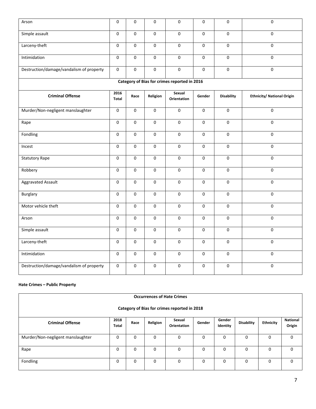| Arson                                    | $\mathbf 0$          | 0           | $\pmb{0}$      | $\mathbf 0$                                  | 0           | $\mathbf 0$       | $\mathsf 0$                       |
|------------------------------------------|----------------------|-------------|----------------|----------------------------------------------|-------------|-------------------|-----------------------------------|
| Simple assault                           | $\mathsf 0$          | 0           | $\mathbf 0$    | $\mathbf 0$                                  | 0           | $\mathbf 0$       | 0                                 |
| Larceny-theft                            | 0                    | 0           | 0              | 0                                            | 0           | $\mathsf 0$       | $\mathsf 0$                       |
| Intimidation                             | $\pmb{0}$            | 0           | 0              | 0                                            | 0           | 0                 | 0                                 |
| Destruction/damage/vandalism of property | $\mathsf 0$          | $\Omega$    | $\pmb{0}$      | $\mathsf 0$                                  | 0           | 0                 | $\mathsf 0$                       |
|                                          |                      |             |                | Category of Bias for crimes reported in 2016 |             |                   |                                   |
| <b>Criminal Offense</b>                  | 2016<br><b>Total</b> | Race        | Religion       | Sexual<br>Orientation                        | Gender      | <b>Disability</b> | <b>Ethnicity/ National Origin</b> |
| Murder/Non-negligent manslaughter        | $\overline{0}$       | 0           | $\overline{0}$ | $\Omega$                                     | 0           | 0                 | $\overline{0}$                    |
| Rape                                     | $\mathsf 0$          | 0           | $\mathbf 0$    | $\mathbf 0$                                  | $\mathbf 0$ | $\mathbf 0$       | $\mathbf 0$                       |
| Fondling                                 | $\mathbf 0$          | 0           | $\pmb{0}$      | $\pmb{0}$                                    | $\pmb{0}$   | $\pmb{0}$         | $\mathsf{o}$                      |
| Incest                                   | $\pmb{0}$            | $\mathbf 0$ | $\mathsf 0$    | $\mathsf 0$                                  | $\mathsf 0$ | $\overline{0}$    | $\overline{0}$                    |
| <b>Statutory Rape</b>                    | $\pmb{0}$            | 0           | $\mathsf 0$    | $\mathbf 0$                                  | 0           | 0                 | 0                                 |
| Robbery                                  | 0                    | 0           | 0              | $\mathsf 0$                                  | $\mathsf 0$ | $\mathsf 0$       | 0                                 |
| <b>Aggravated Assault</b>                | $\overline{0}$       | 0           | $\mathbf 0$    | $\overline{0}$                               | 0           | 0                 | $\overline{0}$                    |
| <b>Burglary</b>                          | $\pmb{0}$            | $\mathbf 0$ | $\mathbf 0$    | $\mathsf 0$                                  | 0           | $\overline{0}$    | $\overline{0}$                    |
| Motor vehicle theft                      | $\mathbf 0$          | 0           | $\pmb{0}$      | $\mathbf 0$                                  | 0           | 0                 | 0                                 |
| Arson                                    | 0                    | 0           | 0              | $\pmb{0}$                                    | 0           | $\mathsf 0$       | 0                                 |
| Simple assault                           | $\pmb{0}$            | 0           | 0              | $\mathsf 0$                                  | 0           | $\mathsf 0$       | $\mathsf 0$                       |
| Larceny-theft                            | $\pmb{0}$            | 0           | 0              | $\mathbf 0$                                  | $\mathsf 0$ | $\mathsf 0$       | $\mathsf 0$                       |
| Intimidation                             | 0                    | 0           | 0              | $\pmb{0}$                                    | 0           | 0                 | $\mathbf 0$                       |
| Destruction/damage/vandalism of property | $\pmb{0}$            | 0           | 0              | $\mathbf 0$                                  | 0           | 0                 | 0                                 |

#### **Hate Crimes – Public Property**

|                                              |               |      |          | <b>Occurrences of Hate Crimes</b> |        |                    |                   |                  |                           |
|----------------------------------------------|---------------|------|----------|-----------------------------------|--------|--------------------|-------------------|------------------|---------------------------|
| Category of Bias for crimes reported in 2018 |               |      |          |                                   |        |                    |                   |                  |                           |
| <b>Criminal Offense</b>                      | 2018<br>Total | Race | Religion | Sexual<br><b>Orientation</b>      | Gender | Gender<br>Identity | <b>Disability</b> | <b>Ethnicity</b> | <b>National</b><br>Origin |
| Murder/Non-negligent manslaughter            | 0             | 0    | 0        | 0                                 | 0      | 0                  | 0                 | 0                | 0                         |
| Rape                                         | 0             | 0    | 0        | 0                                 | 0      | 0                  | 0                 | 0                | 0                         |
| Fondling                                     | 0             | 0    | 0        | 0                                 | 0      | 0                  | 0                 | 0                | 0                         |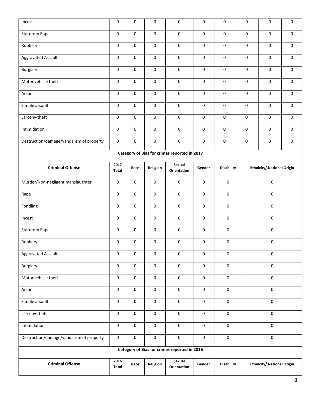| Incest                                       | $\mathsf{O}\xspace$ | 0                   | 0                   | $\mathbf 0$           | 0                   | 0                   | $\mathsf{O}\xspace$ | 0                                 | 0 |
|----------------------------------------------|---------------------|---------------------|---------------------|-----------------------|---------------------|---------------------|---------------------|-----------------------------------|---|
| <b>Statutory Rape</b>                        | $\pmb{0}$           | 0                   | $\pmb{0}$           | $\pmb{0}$             | 0                   | $\mathbf 0$         | $\mathsf 0$         | $\mathbf 0$                       | 0 |
| Robbery                                      | $\mathsf{O}\xspace$ | 0                   | 0                   | $\mathsf{O}\xspace$   | 0                   | $\mathbf 0$         | $\mathsf{O}\xspace$ | 0                                 | 0 |
| Aggravated Assault                           | $\mathsf{O}\xspace$ | 0                   | 0                   | $\mathsf{O}\xspace$   | 0                   | $\mathbf 0$         | $\mathsf 0$         | 0                                 | 0 |
| Burglary                                     | $\mathsf{O}\xspace$ | 0                   | $\mathsf{O}\xspace$ | $\mathsf{O}\xspace$   | 0                   | 0                   | $\mathbf 0$         | 0                                 | 0 |
| Motor vehicle theft                          | $\mathsf{O}\xspace$ | 0                   | $\mathsf{O}\xspace$ | $\mathsf{O}\xspace$   | 0                   | 0                   | $\mathbf 0$         | 0                                 | 0 |
| Arson                                        | 0                   | 0                   | 0                   | $\pmb{0}$             | 0                   | 0                   | $\mathsf{O}\xspace$ | $\mathbf 0$                       | 0 |
| Simple assault                               | $\mathsf{O}\xspace$ | 0                   | 0                   | $\mathsf{O}\xspace$   | 0                   | 0                   | $\mathsf{O}\xspace$ | 0                                 | 0 |
| Larceny-theft                                | $\mathsf{O}\xspace$ | 0                   | $\mathsf{O}\xspace$ | $\mathsf{O}\xspace$   | 0                   | $\mathbf 0$         | $\mathsf{O}\xspace$ | 0                                 | 0 |
| Intimidation                                 | 0                   | 0                   | 0                   | $\mathsf{O}\xspace$   | 0                   | 0                   | 0                   | 0                                 | 0 |
| Destruction/damage/vandalism of property     | $\mathsf{O}\xspace$ | 0                   | 0                   | $\mathbf 0$           | 0                   | $\mathbf 0$         | $\mathsf{O}\xspace$ | 0                                 | 0 |
| Category of Bias for crimes reported in 2017 |                     |                     |                     |                       |                     |                     |                     |                                   |   |
| <b>Criminal Offense</b>                      | 2017<br>Total       | Race                | Religion            | Sexual<br>Orientation | Gender              | <b>Disability</b>   |                     | Ethnicity/ National Origin        |   |
| Murder/Non-negligent manslaughter            | $\mathsf 0$         | $\mathbf 0$         | $\pmb{0}$           | $\mathsf 0$           | 0                   | 0                   |                     | $\mathbf 0$                       |   |
| Rape                                         | $\mathbf 0$         | 0                   | $\mathbf 0$         | $\mathbf 0$           | 0                   | $\mathbf 0$         |                     | 0                                 |   |
| Fondling                                     | 0                   | 0                   | 0                   | $\mathsf{O}\xspace$   | 0                   | $\mathsf{O}\xspace$ |                     | 0                                 |   |
| Incest                                       | 0                   | 0                   | 0                   | $\mathsf{O}\xspace$   | 0                   | 0                   |                     | $\mathsf{O}\xspace$               |   |
| <b>Statutory Rape</b>                        | 0                   | 0                   | $\mathsf 0$         | $\mathsf 0$           | 0                   | 0                   |                     | 0                                 |   |
| Robbery                                      | 0                   | 0                   | 0                   | $\mathbf 0$           | 0                   | 0                   |                     | 0                                 |   |
| <b>Aggravated Assault</b>                    | $\pmb{0}$           | 0                   | $\mathsf{O}\xspace$ | $\mathsf 0$           | 0                   | 0                   |                     | $\mathsf 0$                       |   |
| <b>Burglary</b>                              | $\mathsf 0$         | $\overline{0}$      | $\mathsf 0$         | $\mathsf 0$           | $\mathbf 0$         | 0                   |                     | $\mathbf 0$                       |   |
| Motor vehicle theft                          | $\mathsf{O}\xspace$ | 0                   | $\mathsf{O}\xspace$ | $\mathsf{O}\xspace$   | $\mathbf 0$         | 0                   |                     | $\mathsf 0$                       |   |
| Arson                                        | $\mathsf{O}\xspace$ | $\mathsf{O}\xspace$ | $\mathsf{O}\xspace$ | $\mathsf 0$           | $\mathsf{O}\xspace$ | $\mathsf 0$         |                     | $\mathsf{O}\xspace$               |   |
| Simple assault                               | $\mathsf{O}\xspace$ | $\mathsf{O}\xspace$ | $\mathsf{O}\xspace$ | $\mathsf 0$           | $\mathsf{O}\xspace$ | $\mathsf{O}\xspace$ |                     | 0                                 |   |
| Larceny-theft                                | $\mathsf{O}\xspace$ | $\mathsf{O}\xspace$ | $\pmb{0}$           | $\mathsf 0$           | $\mathsf{O}\xspace$ | $\mathbf 0$         |                     | $\mathbf 0$                       |   |
| Intimidation                                 | $\pmb{0}$           | 0                   | $\pmb{0}$           | $\mathbf 0$           | $\mathsf{O}\xspace$ | $\mathbf 0$         |                     | 0                                 |   |
| Destruction/damage/vandalism of property     | $\pmb{0}$           | $\mathsf 0$         | $\pmb{0}$           | $\mathsf 0$           | 0                   | 0                   |                     | $\mathbf 0$                       |   |
| Category of Bias for crimes reported in 2016 |                     |                     |                     |                       |                     |                     |                     |                                   |   |
| <b>Criminal Offense</b>                      | 2016<br>Total       | Race                | Religion            | Sexual<br>Orientation | Gender              | <b>Disability</b>   |                     | <b>Ethnicity/ National Origin</b> |   |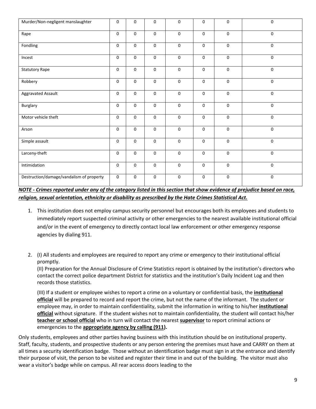| Murder/Non-negligent manslaughter        | 0 | $\mathbf 0$         | 0                   | $\mathsf{O}\xspace$ | $\mathbf 0$         | 0                   | 0           |
|------------------------------------------|---|---------------------|---------------------|---------------------|---------------------|---------------------|-------------|
| Rape                                     | 0 | $\mathbf 0$         | 0                   | $\mathbf 0$         | $\Omega$            | 0                   | $\mathbf 0$ |
| Fondling                                 | 0 | $\mathsf{O}\xspace$ | 0                   | $\mathsf 0$         | $\mathsf 0$         | $\mathbf 0$         | 0           |
| Incest                                   | 0 | $\mathsf{O}\xspace$ | $\mathbf 0$         | $\mathsf{O}\xspace$ | $\mathbf 0$         | 0                   | 0           |
| <b>Statutory Rape</b>                    | 0 | $\mathbf 0$         | $\mathbf 0$         | $\mathsf{O}\xspace$ | $\mathsf 0$         | 0                   | $\mathbf 0$ |
| Robbery                                  | 0 | $\mathsf{O}\xspace$ | $\pmb{0}$           | $\mathsf 0$         | $\pmb{0}$           | 0                   | $\mathsf 0$ |
| Aggravated Assault                       | 0 | $\mathsf{O}\xspace$ | $\pmb{0}$           | $\mathsf{O}\xspace$ | $\pmb{0}$           | 0                   | 0           |
| Burglary                                 | 0 | $\mathbf 0$         | 0                   | $\mathsf 0$         | $\mathsf 0$         | $\mathsf 0$         | 0           |
| Motor vehicle theft                      | 0 | $\mathbf 0$         | $\mathbf 0$         | $\mathsf{O}\xspace$ | $\mathbf 0$         | 0                   | $\mathbf 0$ |
| Arson                                    | 0 | $\mathsf{O}\xspace$ | 0                   | $\mathsf{O}\xspace$ | $\mathbf 0$         | $\mathsf{O}\xspace$ | $\mathbf 0$ |
| Simple assault                           | 0 | $\mathbf 0$         | $\mathbf 0$         | $\mathbf 0$         | $\mathbf 0$         | 0                   | 0           |
| Larceny-theft                            | 0 | $\mathbf 0$         | $\mathsf{O}\xspace$ | $\mathsf 0$         | $\mathbf 0$         | 0                   | $\mathsf 0$ |
| Intimidation                             | 0 | $\mathsf{O}\xspace$ | 0                   | $\mathsf{O}\xspace$ | $\mathsf{O}\xspace$ | $\mathsf{O}\xspace$ | $\mathbf 0$ |
| Destruction/damage/vandalism of property | 0 | $\mathsf{O}\xspace$ | $\mathsf{O}\xspace$ | $\mathsf{O}\xspace$ | $\mathbf 0$         | 0                   | 0           |

*NOTE ‐ Crimes reported under any of the category listed in this section that show evidence of prejudice based on race, religion, sexual orientation, ethnicity or disability as prescribed by the Hate Crimes Statistical Act.*

- 1. This institution does not employ campus security personnel but encourages both its employees and students to immediately report suspected criminal activity or other emergencies to the nearest available institutional official and/or in the event of emergency to directly contact local law enforcement or other emergency response agencies by dialing 911.
- 2. (I) All students and employees are required to report any crime or emergency to their institutional official promptly.

(II) Preparation for the Annual Disclosure of Crime Statistics report is obtained by the institution's directors who contact the correct police department District for statistics and the institution's Daily Incident Log and then records those statistics.

(III) If a student or employee wishes to report a crime on a voluntary or confidential basis, the **institutional official** will be prepared to record and report the crime, but not the name of the informant. The student or employee may, in order to maintain confidentiality, submit the information in writing to his/her **institutional official** without signature. If the student wishes not to maintain confidentiality, the student will contact his/her **teacher or school official** who in turn will contact the nearest **supervisor** to report criminal actions or emergencies to the **appropriate agency by calling (911).**

Only students, employees and other parties having business with this institution should be on institutional property. Staff, faculty, students, and prospective students or any person entering the premises must have and CARRY on them at all times a security identification badge. Those without an identification badge must sign in at the entrance and identify their purpose of visit, the person to be visited and register their time in and out of the building. The visitor must also wear a visitor's badge while on campus. All rear access doors leading to the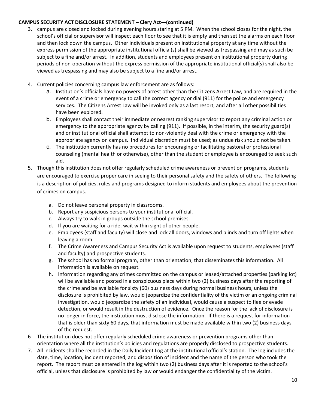#### **CAMPUS SECURITY ACT DISCLOSURE STATEMENT – Clery Act—(continued)**

- 3. campus are closed and locked during evening hours staring at 5 PM. When the school closes for the night, the school's official or supervisor will inspect each floor to see that it is empty and then set the alarms on each floor and then lock down the campus. Other individuals present on institutional property at any time without the express permission of the appropriate institutional official(s) shall be viewed as trespassing and may as such be subject to a fine and/or arrest. In addition, students and employees present on institutional property during periods of non‐operation without the express permission of the appropriate institutional official(s) shall also be viewed as trespassing and may also be subject to a fine and/or arrest.
- 4. Current policies concerning campus law enforcement are as follows:
	- a. Institution's officials have no powers of arrest other than the Citizens Arrest Law, and are required in the event of a crime or emergency to call the correct agency or dial (911) for the police and emergency services. The Citizens Arrest Law will be invoked only as a last resort, and after all other possibilities have been explored.
	- b. Employees shall contact their immediate or nearest ranking supervisor to report any criminal action or emergency to the appropriate agency by calling (911). If possible, in the interim, the security guard(s) and or institutional official shall attempt to non-violently deal with the crime or emergency with the appropriate agency on campus. Individual discretion must be used; as undue risk should not be taken.
	- c. The institution currently has no procedures for encouraging or facilitating pastoral or professional counseling (mental health or otherwise), other than the student or employee is encouraged to seek such aid.
- 5. Though this institution does not offer regularly scheduled crime awareness or prevention programs, students are encouraged to exercise proper care in seeing to their personal safety and the safety of others. The following is a description of policies, rules and programs designed to inform students and employees about the prevention of crimes on campus.
	- a. Do not leave personal property in classrooms.
	- b. Report any suspicious persons to your institutional official.
	- c. Always try to walk in groups outside the school premises.
	- d. If you are waiting for a ride, wait within sight of other people.
	- e. Employees (staff and faculty) will close and lock all doors, windows and blinds and turn off lights when leaving a room
	- f. The Crime Awareness and Campus Security Act is available upon request to students, employees (staff and faculty) and prospective students.
	- g. The school has no formal program, other than orientation, that disseminates this information. All information is available on request.
	- h. Information regarding any crimes committed on the campus or leased/attached properties (parking lot) will be available and posted in a conspicuous place within two (2) business days after the reporting of the crime and be available for sixty (60) business days during normal business hours, unless the disclosure is prohibited by law, would jeopardize the confidentiality of the victim or an ongoing criminal investigation, would jeopardize the safety of an individual, would cause a suspect to flee or evade detection, or would result in the destruction of evidence. Once the reason for the lack of disclosure is no longer in force, the institution must disclose the information. If there is a request for information that is older than sixty 60 days, that information must be made available within two (2) business days of the request.
- 6 The institution does not offer regularly scheduled crime awareness or prevention programs other than orientation where all the institution's policies and regulations are properly disclosed to prospective students.
- 7. All incidents shall be recorded in the Daily Incident Log at the institutional official's station. The log includes the date, time, location, incident reported, and disposition of incident and the name of the person who took the report. The report must be entered in the log within two (2) business days after it is reported to the school's official, unless that disclosure is prohibited by law or would endanger the confidentiality of the victim.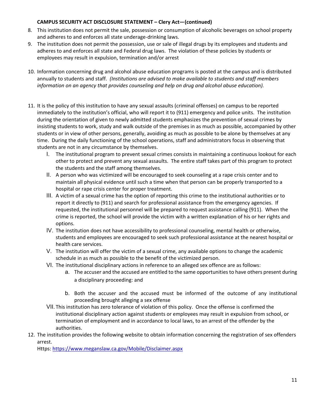### **CAMPUS SECURITY ACT DISCLOSURE STATEMENT – Clery Act—(continued)**

- 8. This institution does not permit the sale, possession or consumption of alcoholic beverages on school property and adheres to and enforces all state underage‐drinking laws.
- 9. The institution does not permit the possession, use or sale of illegal drugs by its employees and students and adheres to and enforces all state and Federal drug laws. The violation of these policies by students or employees may result in expulsion, termination and/or arrest
- 10. Information concerning drug and alcohol abuse education programs is posted at the campus and is distributed annually to students and staff. *(Institutions are advised to make available to students and staff members information on an agency that provides counseling and help on drug and alcohol abuse education).*
- 11. It is the policy of this institution to have any sexual assaults (criminal offenses) on campus to be reported immediately to the institution's official, who will report it to (911) emergency and police units. The institution during the orientation of given to newly admitted students emphasizes the prevention of sexual crimes by insisting students to work, study and walk outside of the premises in as much as possible, accompanied by other students or in view of other persons, generally, avoiding as much as possible to be alone by themselves at any time. During the daily functioning of the school operations, staff and administrators focus in observing that students are not in any circumstance by themselves.
	- I. The institutional program to prevent sexual crimes consists in maintaining a continuous lookout for each other to protect and prevent any sexual assaults. The entire staff takes part of this program to protect the students and the staff among themselves.
	- II. A person who was victimized will be encouraged to seek counseling at a rape crisis center and to maintain all physical evidence until such a time when that person can be properly transported to a hospital or rape crisis center for proper treatment.
	- III. A victim of a sexual crime has the option of reporting this crime to the institutional authorities or to report it directly to (911) and search for professional assistance from the emergency agencies. If requested, the institutional personnel will be prepared to request assistance calling (911). When the crime is reported, the school will provide the victim with a written explanation of his or her rights and options.
	- IV. The institution does not have accessibility to professional counseling, mental health or otherwise, students and employees are encouraged to seek such professional assistance at the nearest hospital or health care services.
	- V. The institution will offer the victim of a sexual crime, any available options to change the academic schedule in as much as possible to the benefit of the victimized person.
	- VI. The institutional disciplinary actions in reference to an alleged sex offence are as follows:
		- a. The accuser and the accused are entitled to the same opportunities to have others present during a disciplinary proceeding: and
		- b. Both the accuser and the accused must be informed of the outcome of any institutional proceeding brought alleging a sex offense
	- VII. This institution has zero tolerance of violation of this policy. Once the offense is confirmed the institutional disciplinary action against students or employees may result in expulsion from school, or termination of employment and in accordance to local laws, to an arrest of the offender by the authorities.
- 12. The institution provides the following website to obtain information concerning the registration of sex offenders arrest.

Https: https://www.meganslaw.ca.gov/Mobile/Disclaimer.aspx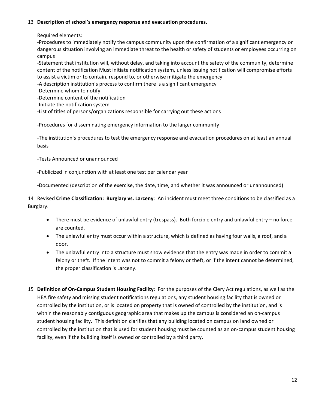#### 13 **Description of school's emergency response and evacuation procedures.**

Required elements:

‐Procedures to immediately notify the campus community upon the confirmation of a significant emergency or dangerous situation involving an immediate threat to the health or safety of students or employees occurring on campus

‐Statement that institution will, without delay, and taking into account the safety of the community, determine content of the notification Must initiate notification system, unless issuing notification will compromise efforts to assist a victim or to contain, respond to, or otherwise mitigate the emergency

‐A description institution's process to confirm there is a significant emergency

‐Determine whom to notify

‐Determine content of the notification

‐Initiate the notification system

‐List of titles of persons/organizations responsible for carrying out these actions

‐Procedures for disseminating emergency information to the larger community

‐The institution's procedures to test the emergency response and evacuation procedures on at least an annual basis

‐Tests Announced or unannounced

‐Publicized in conjunction with at least one test per calendar year

‐Documented (description of the exercise, the date, time, and whether it was announced or unannounced)

14 Revised **Crime Classification: Burglary vs. Larceny**: An incident must meet three conditions to be classified as a Burglary.

- There must be evidence of unlawful entry (trespass). Both forcible entry and unlawful entry no force are counted.
- The unlawful entry must occur within a structure, which is defined as having four walls, a roof, and a door.
- The unlawful entry into a structure must show evidence that the entry was made in order to commit a felony or theft. If the intent was not to commit a felony or theft, or if the intent cannot be determined, the proper classification is Larceny.
- 15 **Definition of On‐Campus Student Housing Facility**: For the purposes of the Clery Act regulations, as well as the HEA fire safety and missing student notifications regulations, any student housing facility that is owned or controlled by the institution, or is located on property that is owned of controlled by the institution, and is within the reasonably contiguous geographic area that makes up the campus is considered an on‐campus student housing facility. This definition clarifies that any building located on campus on land owned or controlled by the institution that is used for student housing must be counted as an on‐campus student housing facility, even if the building itself is owned or controlled by a third party.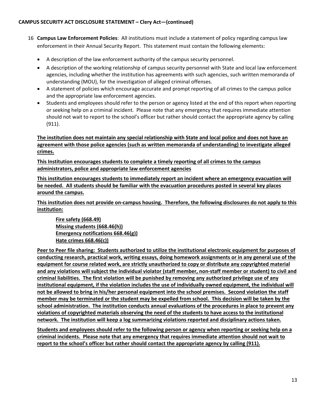- 16 **Campus Law Enforcement Policies**: All institutions must include a statement of policy regarding campus law enforcement in their Annual Security Report. This statement must contain the following elements:
	- A description of the law enforcement authority of the campus security personnel.
	- A description of the working relationship of campus security personnel with State and local law enforcement agencies, including whether the institution has agreements with such agencies, such written memoranda of understanding (MOU), for the investigation of alleged criminal offenses.
	- A statement of policies which encourage accurate and prompt reporting of all crimes to the campus police and the appropriate law enforcement agencies.
	- Students and employees should refer to the person or agency listed at the end of this report when reporting or seeking help on a criminal incident. Please note that any emergency that requires immediate attention should not wait to report to the school's officer but rather should contact the appropriate agency by calling (911).

**The institution does not maintain any special relationship with State and local police and does not have an agreement with those police agencies (such as written memoranda of understanding) to investigate alleged crimes.** 

**This Institution encourages students to complete a timely reporting of all crimes to the campus administrators, police and appropriate law enforcement agencies**

**This institution encourages students to immediately report an incident where an emergency evacuation will be needed. All students should be familiar with the evacuation procedures posted in several key places around the campus.** 

**This institution does not provide on‐campus housing. Therefore, the following disclosures do not apply to this institution:** 

**Fire safety (668.49) Missing students (668.46(h)) Emergency notifications 668.46(g)) Hate crimes 668.46(c))** 

**Peer to Peer file sharing: Students authorized to utilize the institutional electronic equipment for purposes of conducting research, practical work, writing essays, doing homework assignments or in any general use of the equipment for course related work, are strictly unauthorized to copy or distribute any copyrighted material and any violations will subject the individual violator (staff member, non‐staff member or student) to civil and criminal liabilities. The first violation will be punished by removing any authorized privilege use of any institutional equipment, if the violation includes the use of individually owned equipment, the individual will not be allowed to bring in his/her personal equipment into the school premises. Second violation the staff member may be terminated or the student may be expelled from school. This decision will be taken by the school administration. The institution conducts annual evaluations of the procedures in place to prevent any violations of copyrighted materials observing the need of the students to have access to the institutional network. The institution will keep a log summarizing violations reported and disciplinary actions taken.** 

**Students and employees should refer to the following person or agency when reporting or seeking help on a criminal incidents. Please note that any emergency that requires immediate attention should not wait to report to the school's officer but rather should contact the appropriate agency by calling (911).**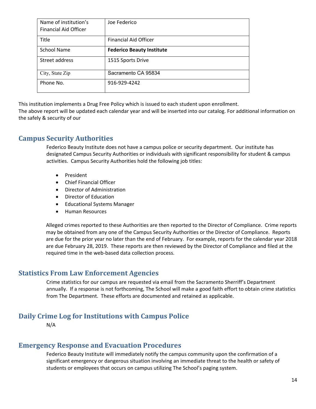| Name of institution's<br><b>Financial Aid Officer</b> | Joe Federico                     |
|-------------------------------------------------------|----------------------------------|
| Title                                                 | <b>Financial Aid Officer</b>     |
| School Name                                           | <b>Federico Beauty Institute</b> |
| Street address                                        | 1515 Sports Drive                |
| City, State Zip                                       | Sacramento CA 95834              |
| Phone No.                                             | 916-929-4242                     |

This institution implements a Drug Free Policy which is issued to each student upon enrollment.

The above report will be updated each calendar year and will be inserted into our catalog. For additional information on the safely & security of our

# **Campus Security Authorities**

Federico Beauty Institute does not have a campus police or security department. Our institute has designated Campus Security Authorities or individuals with significant responsibility for student & campus activities. Campus Security Authorities hold the following job titles:

- President
- Chief Financial Officer
- Director of Administration
- Director of Education
- Educational Systems Manager
- Human Resources

Alleged crimes reported to these Authorities are then reported to the Director of Compliance. Crime reports may be obtained from any one of the Campus Security Authorities or the Director of Compliance. Reports are due for the prior year no later than the end of February. For example, reports for the calendar year 2018 are due February 28, 2019. These reports are then reviewed by the Director of Compliance and filed at the required time in the web‐based data collection process.

## **Statistics From Law Enforcement Agencies**

Crime statistics for our campus are requested via email from the Sacramento Sherriff's Department annually. If a response is not forthcoming, The School will make a good faith effort to obtain crime statistics from The Department. These efforts are documented and retained as applicable.

# **Daily Crime Log for Institutions with Campus Police**

N/A

# **Emergency Response and Evacuation Procedures**

Federico Beauty Institute will immediately notify the campus community upon the confirmation of a significant emergency or dangerous situation involving an immediate threat to the health or safety of students or employees that occurs on campus utilizing The School's paging system.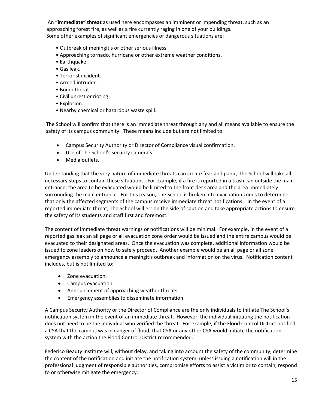An **"immediate" threat** as used here encompasses an imminent or impending threat, such as an approaching forest fire, as well as a fire currently raging in one of your buildings. Some other examples of significant emergencies or dangerous situations are:

- Outbreak of meningitis or other serious illness.
- Approaching tornado, hurricane or other extreme weather conditions.
- Earthquake.
- Gas leak.
- Terrorist incident.
- Armed intruder.
- Bomb threat.
- Civil unrest or rioting.
- Explosion.
- Nearby chemical or hazardous waste spill.

The School will confirm that there is an immediate threat through any and all means available to ensure the safety of its campus community. These means include but are not limited to:

- Campus Security Authority or Director of Compliance visual confirmation.
- Use of The School's security camera's.
- Media outlets.

Understanding that the very nature of immediate threats can create fear and panic, The School will take all necessary steps to contain these situations. For example, if a fire is reported in a trash can outside the main entrance; the area to be evacuated would be limited to the front desk area and the area immediately surrounding the main entrance. For this reason, The School is broken into evacuation zones to determine that only the affected segments of the campus receive immediate threat notifications. In the event of a reported immediate threat, The School will err on the side of caution and take appropriate actions to ensure the safety of its students and staff first and foremost.

The content of immediate threat warnings or notifications will be minimal. For example, in the event of a reported gas leak an all page or all evacuation zone order would be issued and the entire campus would be evacuated to their designated areas. Once the evacuation was complete, additional information would be issued to zone leaders on how to safely proceed. Another example would be an all page or all zone emergency assembly to announce a meningitis outbreak and information on the virus. Notification content includes, but is not limited to:

- Zone evacuation.
- Campus evacuation.
- Announcement of approaching weather threats.
- Emergency assemblies to disseminate information.

A Campus Security Authority or the Director of Compliance are the only individuals to initiate The School's notification system in the event of an immediate threat. However, the individual initiating the notification does not need to be the individual who verified the threat. For example, if the Flood Control District notified a CSA that the campus was in danger of flood, that CSA or any other CSA would initiate the notification system with the action the Flood Control District recommended.

Federico Beauty Institute will, without delay, and taking into account the safety of the community, determine the content of the notification and initiate the notification system, unless issuing a notification will in the professional judgment of responsible authorities, compromise efforts to assist a victim or to contain, respond to or otherwise mitigate the emergency.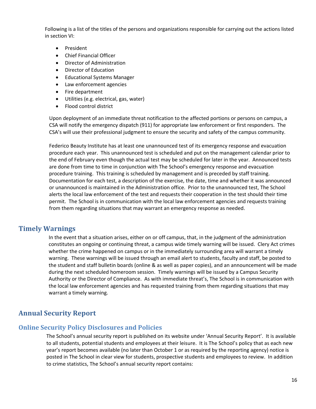Following is a list of the titles of the persons and organizations responsible for carrying out the actions listed in section VI:

- President
- Chief Financial Officer
- Director of Administration
- Director of Education
- Educational Systems Manager
- Law enforcement agencies
- Fire department
- Utilities (e.g. electrical, gas, water)
- Flood control district

Upon deployment of an immediate threat notification to the affected portions or persons on campus, a CSA will notify the emergency dispatch (911) for appropriate law enforcement or first responders. The CSA's will use their professional judgment to ensure the security and safety of the campus community.

Federico Beauty Institute has at least one unannounced test of its emergency response and evacuation procedure each year. This unannounced test is scheduled and put on the management calendar prior to the end of February even though the actual test may be scheduled for later in the year. Announced tests are done from time to time in conjunction with The School's emergency response and evacuation procedure training. This training is scheduled by management and is preceded by staff training. Documentation for each test, a description of the exercise, the date, time and whether it was announced or unannounced is maintained in the Administration office. Prior to the unannounced test, The School alerts the local law enforcement of the test and requests their cooperation in the test should their time permit. The School is in communication with the local law enforcement agencies and requests training from them regarding situations that may warrant an emergency response as needed.

# **Timely Warnings**

In the event that a situation arises, either on or off campus, that, in the judgment of the administration constitutes an ongoing or continuing threat, a campus wide timely warning will be issued. Clery Act crimes whether the crime happened on campus or in the immediately surrounding area will warrant a timely warning. These warnings will be issued through an email alert to students, faculty and staff, be posted to the student and staff bulletin boards (online & as well as paper copies), and an announcement will be made during the next scheduled homeroom session. Timely warnings will be issued by a Campus Security Authority or the Director of Compliance. As with immediate threat's, The School is in communication with the local law enforcement agencies and has requested training from them regarding situations that may warrant a timely warning.

# **Annual Security Report**

## **Online Security Policy Disclosures and Policies**

The School's annual security report is published on its website under 'Annual Security Report'. It is available to all students, potential students and employees at their leisure. It is The School's policy that as each new year's report becomes available (no later than October 1 or as required by the reporting agency) notice is posted in The School in clear view for students, prospective students and employees to review. In addition to crime statistics, The School's annual security report contains: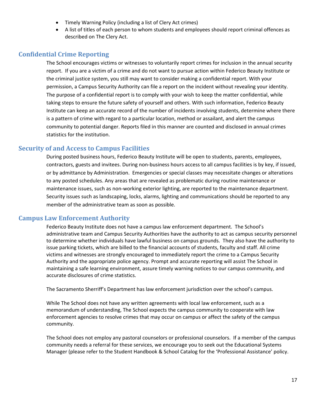- Timely Warning Policy (including a list of Clery Act crimes)
- A list of titles of each person to whom students and employees should report criminal offences as described on The Clery Act.

## **Confidential Crime Reporting**

The School encourages victims or witnesses to voluntarily report crimes for inclusion in the annual security report. If you are a victim of a crime and do not want to pursue action within Federico Beauty Institute or the criminal justice system, you still may want to consider making a confidential report. With your permission, a Campus Security Authority can file a report on the incident without revealing your identity. The purpose of a confidential report is to comply with your wish to keep the matter confidential, while taking steps to ensure the future safety of yourself and others. With such information, Federico Beauty Institute can keep an accurate record of the number of incidents involving students, determine where there is a pattern of crime with regard to a particular location, method or assailant, and alert the campus community to potential danger. Reports filed in this manner are counted and disclosed in annual crimes statistics for the institution.

## **Security of and Access to Campus Facilities**

During posted business hours, Federico Beauty Institute will be open to students, parents, employees, contractors, guests and invitees. During non‐business hours access to all campus facilities is by key, if issued, or by admittance by Administration. Emergencies or special classes may necessitate changes or alterations to any posted schedules. Any areas that are revealed as problematic during routine maintenance or maintenance issues, such as non-working exterior lighting, are reported to the maintenance department. Security issues such as landscaping, locks, alarms, lighting and communications should be reported to any member of the administrative team as soon as possible.

## **Campus Law Enforcement Authority**

Federico Beauty Institute does not have a campus law enforcement department. The School's administrative team and Campus Security Authorities have the authority to act as campus security personnel to determine whether individuals have lawful business on campus grounds. They also have the authority to issue parking tickets, which are billed to the financial accounts of students, faculty and staff. All crime victims and witnesses are strongly encouraged to immediately report the crime to a Campus Security Authority and the appropriate police agency. Prompt and accurate reporting will assist The School in maintaining a safe learning environment, assure timely warning notices to our campus community, and accurate disclosures of crime statistics.

The Sacramento Sherriff's Department has law enforcement jurisdiction over the school's campus.

While The School does not have any written agreements with local law enforcement, such as a memorandum of understanding, The School expects the campus community to cooperate with law enforcement agencies to resolve crimes that may occur on campus or affect the safety of the campus community.

The School does not employ any pastoral counselors or professional counselors. If a member of the campus community needs a referral for these services, we encourage you to seek out the Educational Systems Manager (please refer to the Student Handbook & School Catalog for the 'Professional Assistance' policy.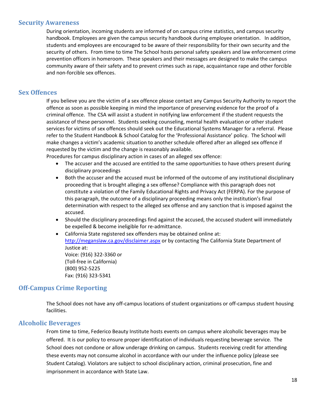## **Security Awareness**

During orientation, incoming students are informed of on campus crime statistics, and campus security handbook. Employees are given the campus security handbook during employee orientation. In addition, students and employees are encouraged to be aware of their responsibility for their own security and the security of others. From time to time The School hosts personal safety speakers and law enforcement crime prevention officers in homeroom. These speakers and their messages are designed to make the campus community aware of their safety and to prevent crimes such as rape, acquaintance rape and other forcible and non‐forcible sex offences.

## **Sex Offences**

If you believe you are the victim of a sex offence please contact any Campus Security Authority to report the offence as soon as possible keeping in mind the importance of preserving evidence for the proof of a criminal offence. The CSA will assist a student in notifying law enforcement if the student requests the assistance of these personnel. Students seeking counseling, mental health evaluation or other student services for victims of sex offences should seek out the Educational Systems Manager for a referral. Please refer to the Student Handbook & School Catalog for the 'Professional Assistance' policy. The School will make changes a victim's academic situation to another schedule offered after an alleged sex offence if requested by the victim and the change is reasonably available.

Procedures for campus disciplinary action in cases of an alleged sex offence:

- The accuser and the accused are entitled to the same opportunities to have others present during disciplinary proceedings
- Both the accuser and the accused must be informed of the outcome of any institutional disciplinary proceeding that is brought alleging a sex offense? Compliance with this paragraph does not constitute a violation of the Family Educational Rights and Privacy Act (FERPA). For the purpose of this paragraph, the outcome of a disciplinary proceeding means only the institution's final determination with respect to the alleged sex offense and any sanction that is imposed against the accused.
- Should the disciplinary proceedings find against the accused, the accused student will immediately be expelled & become ineligible for re‐admittance.
- California State registered sex offenders may be obtained online at: http://meganslaw.ca.gov/disclaimer.aspx or by contacting The California State Department of Justice at: Voice: (916) 322‐3360 or (Toll‐free in California) (800) 952‐5225 Fax: (916) 323‐5341

## **Off‐Campus Crime Reporting**

The School does not have any off‐campus locations of student organizations or off‐campus student housing facilities.

## **Alcoholic Beverages**

From time to time, Federico Beauty Institute hosts events on campus where alcoholic beverages may be offered. It is our policy to ensure proper identification of individuals requesting beverage service. The School does not condone or allow underage drinking on campus. Students receiving credit for attending these events may not consume alcohol in accordance with our under the influence policy (please see Student Catalog). Violators are subject to school disciplinary action, criminal prosecution, fine and imprisonment in accordance with State Law.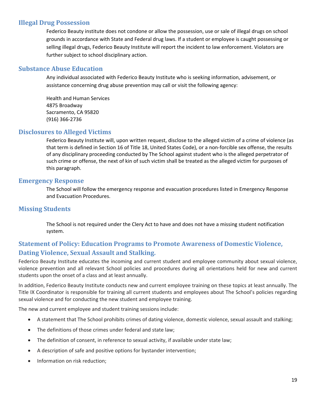## **Illegal Drug Possession**

Federico Beauty institute does not condone or allow the possession, use or sale of illegal drugs on school grounds in accordance with State and Federal drug laws. If a student or employee is caught possessing or selling illegal drugs, Federico Beauty Institute will report the incident to law enforcement. Violators are further subject to school disciplinary action.

## **Substance Abuse Education**

Any individual associated with Federico Beauty Institute who is seeking information, advisement, or assistance concerning drug abuse prevention may call or visit the following agency:

Health and Human Services 4875 Broadway Sacramento, CA 95820 (916) 366‐2736

## **Disclosures to Alleged Victims**

Federico Beauty Institute will, upon written request, disclose to the alleged victim of a crime of violence (as that term is defined in Section 16 of Title 18, United States Code), or a non-forcible sex offense, the results of any disciplinary proceeding conducted by The School against student who is the alleged perpetrator of such crime or offense, the next of kin of such victim shall be treated as the alleged victim for purposes of this paragraph.

## **Emergency Response**

The School will follow the emergency response and evacuation procedures listed in Emergency Response and Evacuation Procedures.

## **Missing Students**

The School is not required under the Clery Act to have and does not have a missing student notification system.

# **Statement of Policy: Education Programs to Promote Awareness of Domestic Violence, Dating Violence, Sexual Assault and Stalking.**

Federico Beauty Institute educates the incoming and current student and employee community about sexual violence, violence prevention and all relevant School policies and procedures during all orientations held for new and current students upon the onset of a class and at least annually.

In addition, Federico Beauty Institute conducts new and current employee training on these topics at least annually. The Title IX Coordinator is responsible for training all current students and employees about The School's policies regarding sexual violence and for conducting the new student and employee training.

The new and current employee and student training sessions include:

- A statement that The School prohibits crimes of dating violence, domestic violence, sexual assault and stalking;
- The definitions of those crimes under federal and state law;
- The definition of consent, in reference to sexual activity, if available under state law;
- A description of safe and positive options for bystander intervention;
- Information on risk reduction;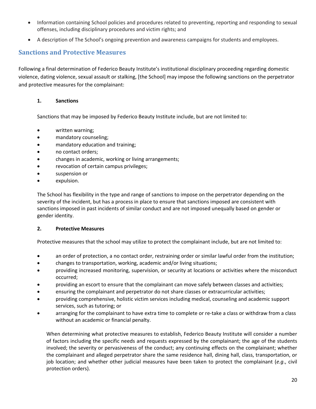- Information containing School policies and procedures related to preventing, reporting and responding to sexual offenses, including disciplinary procedures and victim rights; and
- A description of The School's ongoing prevention and awareness campaigns for students and employees.

## **Sanctions and Protective Measures**

Following a final determination of Federico Beauty Institute's institutional disciplinary proceeding regarding domestic violence, dating violence, sexual assault or stalking, [the School] may impose the following sanctions on the perpetrator and protective measures for the complainant:

### **1. Sanctions**

Sanctions that may be imposed by Federico Beauty Institute include, but are not limited to:

- written warning;
- mandatory counseling;
- mandatory education and training;
- no contact orders;
- changes in academic, working or living arrangements;
- revocation of certain campus privileges;
- suspension or
- expulsion.

The School has flexibility in the type and range of sanctions to impose on the perpetrator depending on the severity of the incident, but has a process in place to ensure that sanctions imposed are consistent with sanctions imposed in past incidents of similar conduct and are not imposed unequally based on gender or gender identity.

#### **2. Protective Measures**

Protective measures that the school may utilize to protect the complainant include, but are not limited to:

- an order of protection, a no contact order, restraining order or similar lawful order from the institution;
- changes to transportation, working, academic and/or living situations;
- providing increased monitoring, supervision, or security at locations or activities where the misconduct occurred;
- providing an escort to ensure that the complainant can move safely between classes and activities;
- ensuring the complainant and perpetrator do not share classes or extracurricular activities;
- providing comprehensive, holistic victim services including medical, counseling and academic support services, such as tutoring; or
- arranging for the complainant to have extra time to complete or re‐take a class or withdraw from a class without an academic or financial penalty.

When determining what protective measures to establish, Federico Beauty Institute will consider a number of factors including the specific needs and requests expressed by the complainant; the age of the students involved; the severity or pervasiveness of the conduct; any continuing effects on the complainant; whether the complainant and alleged perpetrator share the same residence hall, dining hall, class, transportation, or job location; and whether other judicial measures have been taken to protect the complainant (*e.g*., civil protection orders).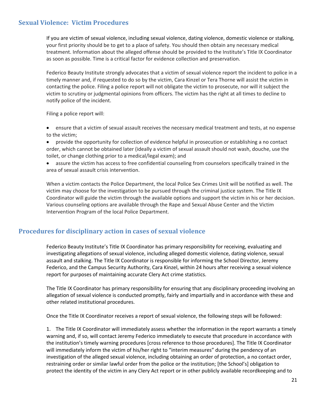## **Sexual Violence: Victim Procedures**

If you are victim of sexual violence, including sexual violence, dating violence, domestic violence or stalking, your first priority should be to get to a place of safety. You should then obtain any necessary medical treatment. Information about the alleged offense should be provided to the Institute's Title IX Coordinator as soon as possible. Time is a critical factor for evidence collection and preservation.

Federico Beauty Institute strongly advocates that a victim of sexual violence report the incident to police in a timely manner and, if requested to do so by the victim, Cara Kinzel or Tera Thorne will assist the victim in contacting the police. Filing a police report will not obligate the victim to prosecute, nor will it subject the victim to scrutiny or judgmental opinions from officers. The victim has the right at all times to decline to notify police of the incident.

Filing a police report will:

- ensure that a victim of sexual assault receives the necessary medical treatment and tests, at no expense to the victim;
- provide the opportunity for collection of evidence helpful in prosecution or establishing a no contact order, which cannot be obtained later (ideally a victim of sexual assault should not wash, douche, use the toilet, or change clothing prior to a medical/legal exam); and
- assure the victim has access to free confidential counseling from counselors specifically trained in the area of sexual assault crisis intervention.

When a victim contacts the Police Department, the local Police Sex Crimes Unit will be notified as well. The victim may choose for the investigation to be pursued through the criminal justice system. The Title IX Coordinator will guide the victim through the available options and support the victim in his or her decision. Various counseling options are available through the Rape and Sexual Abuse Center and the Victim Intervention Program of the local Police Department.

## **Procedures for disciplinary action in cases of sexual violence**

Federico Beauty Institute's Title IX Coordinator has primary responsibility for receiving, evaluating and investigating allegations of sexual violence, including alleged domestic violence, dating violence, sexual assault and stalking. The Title IX Coordinator is responsible for informing the School Director, Jeremy Federico, and the Campus Security Authority, Cara Kinzel, within 24 hours after receiving a sexual violence report for purposes of maintaining accurate Clery Act crime statistics.

The Title IX Coordinator has primary responsibility for ensuring that any disciplinary proceeding involving an allegation of sexual violence is conducted promptly, fairly and impartially and in accordance with these and other related institutional procedures.

Once the Title IX Coordinator receives a report of sexual violence, the following steps will be followed:

1. The Title IX Coordinator will immediately assess whether the information in the report warrants a timely warning and, if so, will contact Jeremy Federico immediately to execute that procedure in accordance with the institution's timely warning procedures [cross reference to those procedures]. The Title IX Coordinator will immediately inform the victim of his/her right to "interim measures" during the pendency of an investigation of the alleged sexual violence, including obtaining an order of protection, a no contact order, restraining order or similar lawful order from the police or the institution; [the School's] obligation to protect the identity of the victim in any Clery Act report or in other publicly available recordkeeping and to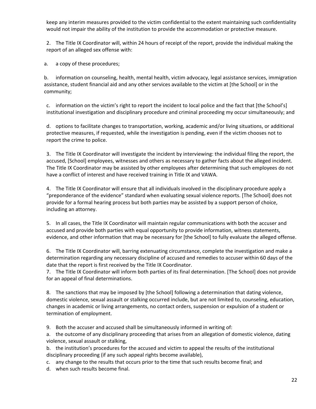keep any interim measures provided to the victim confidential to the extent maintaining such confidentiality would not impair the ability of the institution to provide the accommodation or protective measure.

2. The Title IX Coordinator will, within 24 hours of receipt of the report, provide the individual making the report of an alleged sex offense with:

a. a copy of these procedures;

b. information on counseling, health, mental health, victim advocacy, legal assistance services, immigration assistance, student financial aid and any other services available to the victim at [the School] or in the community;

c. information on the victim's right to report the incident to local police and the fact that [the School's] institutional investigation and disciplinary procedure and criminal proceeding my occur simultaneously; and

d. options to facilitate changes to transportation, working, academic and/or living situations, or additional protective measures, if requested, while the investigation is pending, even if the victim chooses not to report the crime to police.

3. The Title IX Coordinator will investigate the incident by interviewing: the individual filing the report, the accused, [School] employees, witnesses and others as necessary to gather facts about the alleged incident. The Title IX Coordinator may be assisted by other employees after determining that such employees do not have a conflict of interest and have received training in Title IX and VAWA.

4. The Title IX Coordinator will ensure that all individuals involved in the disciplinary procedure apply a "preponderance of the evidence" standard when evaluating sexual violence reports. [The School] does not provide for a formal hearing process but both parties may be assisted by a support person of choice, including an attorney.

5. In all cases, the Title IX Coordinator will maintain regular communications with both the accuser and accused and provide both parties with equal opportunity to provide information, witness statements, evidence, and other information that may be necessary for [the School] to fully evaluate the alleged offense.

6. The Title IX Coordinator will, barring extenuating circumstance, complete the investigation and make a determination regarding any necessary discipline of accused and remedies to accuser within 60 days of the date that the report is first received by the Title IX Coordinator.

7. The Title IX Coordinator will inform both parties of its final determination. [The School] does not provide for an appeal of final determinations.

8. The sanctions that may be imposed by [the School] following a determination that dating violence, domestic violence, sexual assault or stalking occurred include, but are not limited to, counseling, education, changes in academic or living arrangements, no contact orders, suspension or expulsion of a student or termination of employment.

9. Both the accuser and accused shall be simultaneously informed in writing of:

a. the outcome of any disciplinary proceeding that arises from an allegation of domestic violence, dating violence, sexual assault or stalking,

b. the institution's procedures for the accused and victim to appeal the results of the institutional disciplinary proceeding (if any such appeal rights become available),

c. any change to the results that occurs prior to the time that such results become final; and

d. when such results become final.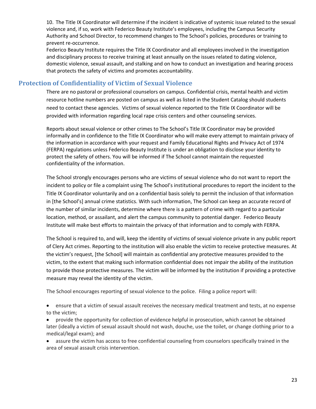10. The Title IX Coordinator will determine if the incident is indicative of systemic issue related to the sexual violence and, if so, work with Federico Beauty Institute's employees, including the Campus Security Authority and School Director, to recommend changes to The School's policies, procedures or training to prevent re‐occurrence.

Federico Beauty Institute requires the Title IX Coordinator and all employees involved in the investigation and disciplinary process to receive training at least annually on the issues related to dating violence, domestic violence, sexual assault, and stalking and on how to conduct an investigation and hearing process that protects the safety of victims and promotes accountability.

## **Protection of Confidentiality of Victim of Sexual Violence**

There are no pastoral or professional counselors on campus. Confidential crisis, mental health and victim resource hotline numbers are posted on campus as well as listed in the Student Catalog should students need to contact these agencies. Victims of sexual violence reported to the Title IX Coordinator will be provided with information regarding local rape crisis centers and other counseling services.

Reports about sexual violence or other crimes to The School's Title IX Coordinator may be provided informally and in confidence to the Title IX Coordinator who will make every attempt to maintain privacy of the information in accordance with your request and Family Educational Rights and Privacy Act of 1974 (FERPA) regulations unless Federico Beauty Institute is under an obligation to disclose your identity to protect the safety of others. You will be informed if The School cannot maintain the requested confidentiality of the information.

The School strongly encourages persons who are victims of sexual violence who do not want to report the incident to policy or file a complaint using The School's institutional procedures to report the incident to the Title IX Coordinator voluntarily and on a confidential basis solely to permit the inclusion of that information in [the School's] annual crime statistics. With such information, The School can keep an accurate record of the number of similar incidents, determine where there is a pattern of crime with regard to a particular location, method, or assailant, and alert the campus community to potential danger. Federico Beauty Institute will make best efforts to maintain the privacy of that information and to comply with FERPA.

The School is required to, and will, keep the identity of victims of sexual violence private in any public report of Clery Act crimes. Reporting to the institution will also enable the victim to receive protective measures. At the victim's request, [the School] will maintain as confidential any protective measures provided to the victim, to the extent that making such information confidential does not impair the ability of the institution to provide those protective measures. The victim will be informed by the institution if providing a protective measure may reveal the identity of the victim.

The School encourages reporting of sexual violence to the police. Filing a police report will:

 ensure that a victim of sexual assault receives the necessary medical treatment and tests, at no expense to the victim;

 provide the opportunity for collection of evidence helpful in prosecution, which cannot be obtained later (ideally a victim of sexual assault should not wash, douche, use the toilet, or change clothing prior to a medical/legal exam); and

 assure the victim has access to free confidential counseling from counselors specifically trained in the area of sexual assault crisis intervention.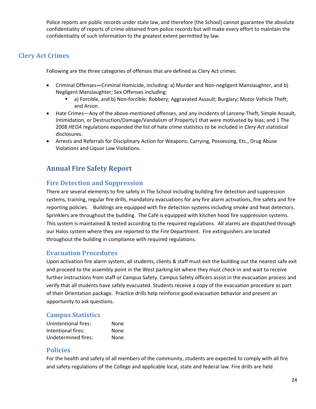Police reports are public records under state law, and therefore [the School] cannot guarantee the absolute confidentiality of reports of crime obtained from police records but will make every effort to maintain the confidentiality of such information to the greatest extent permitted by law.

# **Clery Act Crimes**

Following are the three categories of offenses that are defined as Clery Act crimes:

- Criminal Offenses**—**Criminal Homicide, including: a) Murder and Non‐negligent Manslaughter, and b) Negligent Manslaughter; Sex Offenses including:
	- a) Forcible, and b) Non-forcible; Robbery; Aggravated Assault; Burglary; Motor Vehicle Theft; and Arson.
- Hate Crimes—Any of the above-mentioned offenses, and any incidents of Larceny-Theft, Simple Assault, Intimidation, or Destruction/Damage/Vandalism of Property1 that were motivated by bias; and 1 The 2008 *HEOA* regulations expanded the list of hate crime statistics to be included in *Clery Act* statistical disclosures.
- Arrests and Referrals for Disciplinary Action for Weapons: Carrying, Possessing, Etc., Drug Abuse Violations and Liquor Law Violations.

# **Annual Fire Safety Report**

## **Fire Detection and Suppression**

There are several elements to fire safety in The School including building fire detection and suppression systems, training, regular fire drills, mandatory evacuations for any fire alarm activations, fire safety and fire reporting policies. Buildings are equipped with fire detection systems including smoke and heat detectors. Sprinklers are throughout the building. The Café is equipped with kitchen hood fire suppression systems. This system is maintained & tested according to the required regulations. All alarms are dispatched through our Halos system where they are reported to the Fire Department. Fire extinguishers are located throughout the building in compliance with required regulations.

## **Evacuation Procedures**

Upon activation fire alarm system, all students, clients & staff must exit the building out the nearest safe exit and proceed to the assembly point in the West parking lot where they must check-in and wait to receive further instructions from staff or Campus Safety. Campus Safety officers assist in the evacuation process and verify that all students have safely evacuated. Students receive a copy of the evacuation procedure as part of their Orientation package. Practice drills help reinforce good evacuation behavior and present an opportunity to ask questions.

## **Campus Statistics**

| Unintentional fires: | None |
|----------------------|------|
| Intentional fires:   | None |
| Undetermined fires:  | None |

## **Policies**

For the health and safety of all members of the community, students are expected to comply with all fire and safety regulations of the College and applicable local, state and federal law. Fire drills are held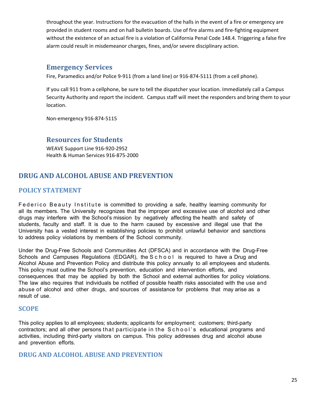throughout the year. Instructions for the evacuation of the halls in the event of a fire or emergency are provided in student rooms and on hall bulletin boards. Use of fire alarms and fire‐fighting equipment without the existence of an actual fire is a violation of California Penal Code 148.4. Triggering a false fire alarm could result in misdemeanor charges, fines, and/or severe disciplinary action.

## **Emergency Services**

Fire, Paramedics and/or Police 9-911 (from a land line) or 916-874-5111 (from a cell phone).

If you call 911 from a cellphone, be sure to tell the dispatcher your location. Immediately call a Campus Security Authority and report the incident. Campus staff will meet the responders and bring them to your location.

Non‐emergency 916‐874‐5115

# **Resources for Students**

WEAVE Support Line 916‐920‐2952 Health & Human Services 916‐875‐2000

# **DRUG AND ALCOHOL ABUSE AND PREVENTION**

## **POLICY STATEMENT**

Federico Beauty Institute is committed to providing a safe, healthy learning community for all its members. The University recognizes that the improper and excessive use of alcohol and other drugs may interfere with the School's mission by negatively affecting the health and safety of students, faculty and staff. It is due to the harm caused by excessive and illegal use that the University has a vested interest in establishing policies to prohibit unlawful behavior and sanctions to address policy violations by members of the School community.

Under the Drug-Free Schools and Communities Act (DFSCA) and in accordance with the Drug-Free Schools and Campuses Regulations (EDGAR), the S c h o o l is required to have a Drug and Alcohol Abuse and Prevention Policy and distribute this policy annually to all employees and students. This policy must outline the School's prevention, education and intervention efforts, and consequences that may be applied by both the School and external authorities for policy violations. The law also requires that individuals be notified of possible health risks associated with the use and abuse of alcohol and other drugs, and sources of assistance for problems that may arise as a result of use.

## **SCOPE**

This policy applies to all employees; students; applicants for employment; customers; third-party contractors; and all other persons that participate in the School's educational programs and activities, including third-party visitors on campus. This policy addresses drug and alcohol abuse and prevention efforts.

## **DRUG AND ALCOHOL ABUSE AND PREVENTION**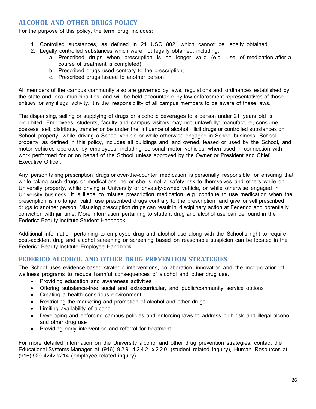## **ALCOHOL AND OTHER DRUGS POLICY**

For the purpose of this policy, the term 'drug' includes:

- 1. Controlled substances, as defined in 21 USC 802, which cannot be legally obtained,
- 2. Legally controlled substances which were not legally obtained, including:
	- a. Prescribed drugs when prescription is no longer valid (e.g. use of medication after a course of treatment is completed);
	- b. Prescribed drugs used contrary to the prescription;
	- c. Prescribed drugs issued to another person

All members of the campus community also are governed by laws, regulations and ordinances established by the state and local municipalities, and will be held accountable by law enforcement representatives of those entities for any illegal activity. It is the responsibility of all campus members to be aware of these laws.

The dispensing, selling or supplying of drugs or alcoholic beverages to a person under 21 years old is prohibited. Employees, students, faculty and campus visitors may not unlawfully: manufacture, consume, possess, sell, distribute, transfer or be under the influence of alcohol, illicit drugs or controlled substances on School property, while driving a School vehicle or while otherwise engaged in School business. School property, as defined in this policy, includes all buildings and land owned, leased or used by the School, and motor vehicles operated by employees, including personal motor vehicles, when used in connection with work performed for or on behalf of the School unless approved by the Owner or President and Chief Executive Officer.

Any person taking prescription drugs or over-the-counter medication is personally responsible for ensuring that while taking such drugs or medications, he or she is not a safety risk to themselves and others while on University property, while driving a University or privately-owned vehicle, or while otherwise engaged in University business. It is illegal to misuse prescription medication, e.g. continue to use medication when the prescription is no longer valid, use prescribed drugs contrary to the prescription, and give or sell prescribed drugs to another person. Misusing prescription drugs can result in disciplinary action at Federico and potentially conviction with jail time. More information pertaining to student drug and alcohol use can be found in the Federico Beauty Institute Student Handbook.

Additional information pertaining to employee drug and alcohol use along with the School's right to require post-accident drug and alcohol screening or screening based on reasonable suspicion can be located in the Federico Beauty Institute Employee Handbook.

## **FEDERICO ALCOHOL AND OTHER DRUG PREVENTION STRATEGIES**

The School uses evidence-based strategic interventions, collaboration, innovation and the incorporation of wellness programs to reduce harmful consequences of alcohol and other drug use.

- Providing education and awareness activities
- Offering substance-free social and extracurricular, and public/community service options
- Creating a health conscious environment
- Restricting the marketing and promotion of alcohol and other drugs
- Limiting availability of alcohol
- Developing and enforcing campus policies and enforcing laws to address high-risk and illegal alcohol and other drug use
- Providing early intervention and referral for treatment

For more detailed information on the University alcohol and other drug prevention strategies, contact the Educational Systems Manager at (916) 9 2 9 - 4 2 4 2 x 2 2 0 (student related inquiry), Human Resources at (916) 929-4242 x214 (employee related inquiry).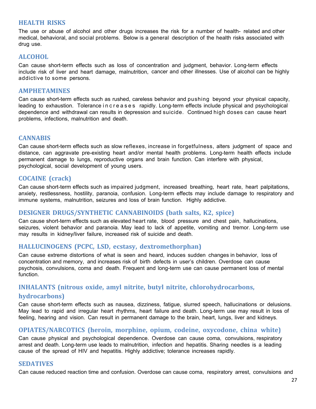### **HEALTH RISKS**

The use or abuse of alcohol and other drugs increases the risk for a number of health- related and other medical, behavioral, and social problems. Below is a general description of the health risks associated with drug use.

### **ALCOHOL**

Can cause short-term effects such as loss of concentration and judgment, behavior. Long-term effects include risk of liver and heart damage, malnutrition, cancer and other illnesses. Use of alcohol can be highly addictive to some persons.

#### **AMPHETAMINES**

Can cause short-term effects such as rushed, careless behavior and pushing beyond your physical capacity, leading to exhaustion. Tolerance in c r e a s e s rapidly. Long-term effects include physical and psychological dependence and withdrawal can results in depression and suicide. Continued high doses can cause heart problems, infections, malnutrition and death.

### **CANNABIS**

Can cause short-term effects such as slow reflexes, increase in forgetfulness, alters judgment of space and distance, can aggravate pre-existing heart and/or mental health problems. Long-term health effects include permanent damage to lungs, reproductive organs and brain function. Can interfere with physical, psychological, social development of young users.

## **COCAINE (crack)**

Can cause short-term effects such as impaired judgment, increased breathing, heart rate, heart palpitations, anxiety, restlessness, hostility, paranoia, confusion. Long-term effects may include damage to respiratory and immune systems, malnutrition, seizures and loss of brain function. Highly addictive.

### **DESIGNER DRUGS/SYNTHETIC CANNABINOIDS (bath salts, K2, spice)**

Can cause short-term effects such as elevated heart rate, blood pressure and chest pain, hallucinations, seizures, violent behavior and paranoia. May lead to lack of appetite, vomiting and tremor. Long-term use may results in kidney/liver failure, increased risk of suicide and death.

### **HALLUCINOGENS (PCPC, LSD, ecstasy, dextromethorphan)**

Can cause extreme distortions of what is seen and heard, induces sudden changes in behavior, loss of concentration and memory, and increases risk of birth defects in user's children. Overdose can cause psychosis, convulsions, coma and death. Frequent and long-term use can cause permanent loss of mental function.

### **INHALANTS (nitrous oxide, amyl nitrite, butyl nitrite, chlorohydrocarbons,**

### **hydrocarbons)**

Can cause short-term effects such as nausea, dizziness, fatigue, slurred speech, hallucinations or delusions. May lead to rapid and irregular heart rhythms, heart failure and death. Long-term use may result in loss of feeling, hearing and vision. Can result in permanent damage to the brain, heart, lungs, liver and kidneys.

## **OPIATES/NARCOTICS (heroin, morphine, opium, codeine, oxycodone, china white)**

Can cause physical and psychological dependence. Overdose can cause coma, convulsions, respiratory arrest and death. Long-term use leads to malnutrition, infection and hepatitis. Sharing needles is a leading cause of the spread of HIV and hepatitis. Highly addictive; tolerance increases rapidly.

#### **SEDATIVES**

Can cause reduced reaction time and confusion. Overdose can cause coma, respiratory arrest, convulsions and